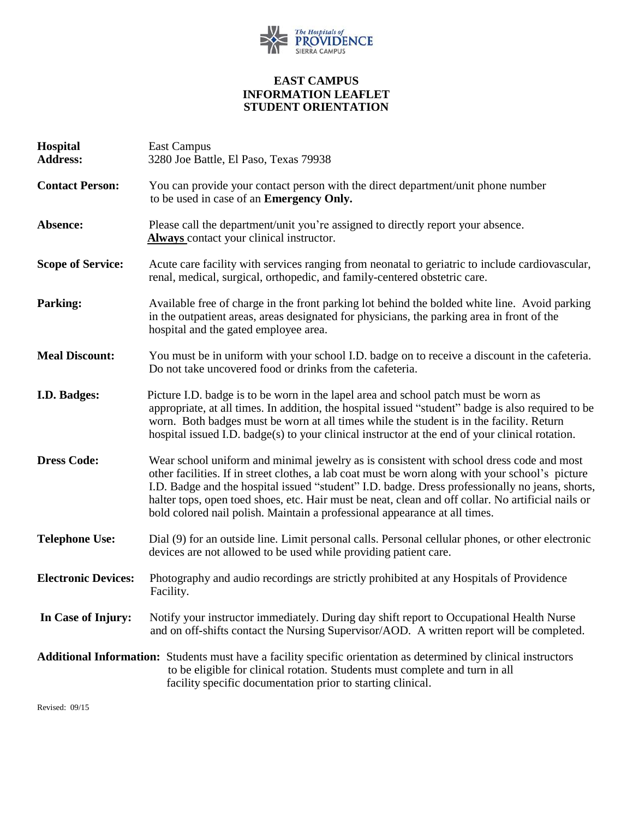

## **EAST CAMPUS INFORMATION LEAFLET STUDENT ORIENTATION**

| <b>Hospital</b><br><b>Address:</b>                                                                                                                                                                                                                              | East Campus<br>3280 Joe Battle, El Paso, Texas 79938                                                                                                                                                                                                                                                                                                                                                                                                                                |
|-----------------------------------------------------------------------------------------------------------------------------------------------------------------------------------------------------------------------------------------------------------------|-------------------------------------------------------------------------------------------------------------------------------------------------------------------------------------------------------------------------------------------------------------------------------------------------------------------------------------------------------------------------------------------------------------------------------------------------------------------------------------|
| <b>Contact Person:</b>                                                                                                                                                                                                                                          | You can provide your contact person with the direct department/unit phone number<br>to be used in case of an <b>Emergency Only.</b>                                                                                                                                                                                                                                                                                                                                                 |
| Absence:                                                                                                                                                                                                                                                        | Please call the department/unit you're assigned to directly report your absence.<br>Always contact your clinical instructor.                                                                                                                                                                                                                                                                                                                                                        |
| <b>Scope of Service:</b>                                                                                                                                                                                                                                        | Acute care facility with services ranging from neonatal to geriatric to include cardiovascular,<br>renal, medical, surgical, orthopedic, and family-centered obstetric care.                                                                                                                                                                                                                                                                                                        |
| <b>Parking:</b>                                                                                                                                                                                                                                                 | Available free of charge in the front parking lot behind the bolded white line. Avoid parking<br>in the outpatient areas, areas designated for physicians, the parking area in front of the<br>hospital and the gated employee area.                                                                                                                                                                                                                                                |
| <b>Meal Discount:</b>                                                                                                                                                                                                                                           | You must be in uniform with your school I.D. badge on to receive a discount in the cafeteria.<br>Do not take uncovered food or drinks from the cafeteria.                                                                                                                                                                                                                                                                                                                           |
| I.D. Badges:                                                                                                                                                                                                                                                    | Picture I.D. badge is to be worn in the lapel area and school patch must be worn as<br>appropriate, at all times. In addition, the hospital issued "student" badge is also required to be<br>worn. Both badges must be worn at all times while the student is in the facility. Return<br>hospital issued I.D. badge(s) to your clinical instructor at the end of your clinical rotation.                                                                                            |
| <b>Dress Code:</b>                                                                                                                                                                                                                                              | Wear school uniform and minimal jewelry as is consistent with school dress code and most<br>other facilities. If in street clothes, a lab coat must be worn along with your school's picture<br>I.D. Badge and the hospital issued "student" I.D. badge. Dress professionally no jeans, shorts,<br>halter tops, open toed shoes, etc. Hair must be neat, clean and off collar. No artificial nails or<br>bold colored nail polish. Maintain a professional appearance at all times. |
| <b>Telephone Use:</b>                                                                                                                                                                                                                                           | Dial (9) for an outside line. Limit personal calls. Personal cellular phones, or other electronic<br>devices are not allowed to be used while providing patient care.                                                                                                                                                                                                                                                                                                               |
| <b>Electronic Devices:</b>                                                                                                                                                                                                                                      | Photography and audio recordings are strictly prohibited at any Hospitals of Providence<br>Facility.                                                                                                                                                                                                                                                                                                                                                                                |
| In Case of Injury:                                                                                                                                                                                                                                              | Notify your instructor immediately. During day shift report to Occupational Health Nurse<br>and on off-shifts contact the Nursing Supervisor/AOD. A written report will be completed.                                                                                                                                                                                                                                                                                               |
| Additional Information: Students must have a facility specific orientation as determined by clinical instructors<br>to be eligible for clinical rotation. Students must complete and turn in all<br>facility specific documentation prior to starting clinical. |                                                                                                                                                                                                                                                                                                                                                                                                                                                                                     |

Revised: 09/15